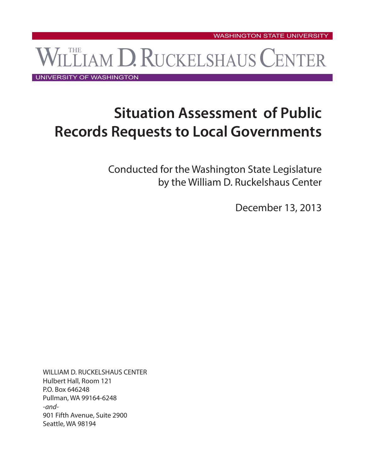WILLIAM D. RUCKELSHAUS CENTER WASHINGTON STATE UNIVERSITY

UNIVERSITY OF WASHINGTON

# **Situation Assessment of Public Records Requests to Local Governments**

Conducted for the Washington State Legislature by the William D. Ruckelshaus Center

December 13, 2013

WILLIAM D. RUCKELSHAUS CENTER Hulbert Hall, Room 121 P.O. Box 646248 Pullman, WA 99164-6248 *-and-*901 Fifth Avenue, Suite 2900 Seattle, WA 98194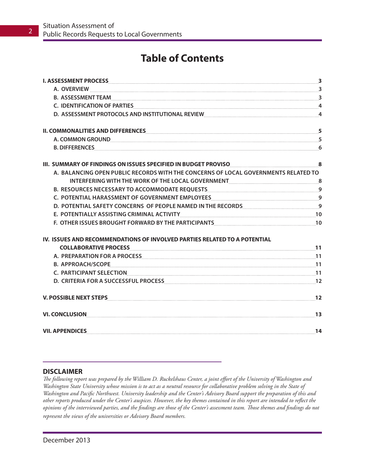## **Table of Contents**

| A. OVERVIEW 33                                                                                                                                                                                                                 |  |
|--------------------------------------------------------------------------------------------------------------------------------------------------------------------------------------------------------------------------------|--|
|                                                                                                                                                                                                                                |  |
| C. IDENTIFICATION OF PARTIES EXECUTIVE AND THE RESERVE A SERVER AND THE RESERVE A SERVER AND THE RESERVE A SERVER AND THE RESERVE ASSESSED.                                                                                    |  |
| D. ASSESSMENT PROTOCOLS AND INSTITUTIONAL REVIEW [100] MASSESSMENT PROTOCOLS AND INSTITUTIONAL REVIEW [200] MASSESSMENT PROTOCOLS AND INSTITUTIONAL REVIEW [200] MASSESSMENT PROTOCOLS AND INSTITUTIONAL REVIEW [200] MASSESSM |  |
| II. COMMONALITIES AND DIFFERENCES <b>Example 2018</b> 10 12 13 14 15 16 17 18 18 19 19 19 19 19 19 19 19 19 19 19 19 1                                                                                                         |  |
| A. COMMON GROUND Expansion and the community of the community of the community of the community of the community of $5$                                                                                                        |  |
|                                                                                                                                                                                                                                |  |
| III. SUMMARY OF FINDINGS ON ISSUES SPECIFIED IN BUDGET PROVISO <b>CONSERVERSION</b> 8                                                                                                                                          |  |
| A. BALANCING OPEN PUBLIC RECORDS WITH THE CONCERNS OF LOCAL GOVERNMENTS RELATED TO                                                                                                                                             |  |
|                                                                                                                                                                                                                                |  |
| B. RESOURCES NECESSARY TO ACCOMMODATE REQUESTS MANUSIC CONTROLLER PERSON RESOURCES NECESSARY TO ACCOMMODATE REQUESTS                                                                                                           |  |
|                                                                                                                                                                                                                                |  |
| D. POTENTIAL SAFETY CONCERNS OF PEOPLE NAMED IN THE RECORDS [[11] THE RECORDS]                                                                                                                                                 |  |
| E. POTENTIALLY ASSISTING CRIMINAL ACTIVITY [10] 10 And 10 And 10 And 10 And 10 And 10 And 10 And 10 And 10 And 10 And 10 And 10 And 10 And 10 And 10 And 10 And 10 And 10 And 10 And 10 And 10 And 10 And 10 And 10 And 10 And |  |
| F. OTHER ISSUES BROUGHT FORWARD BY THE PARTICIPANTS [[[[[[[[[[[[[[[[[[]]]]]]]]]]]                                                                                                                                              |  |
| IV. ISSUES AND RECOMMENDATIONS OF INVOLVED PARTIES RELATED TO A POTENTIAL                                                                                                                                                      |  |
|                                                                                                                                                                                                                                |  |
|                                                                                                                                                                                                                                |  |
|                                                                                                                                                                                                                                |  |
|                                                                                                                                                                                                                                |  |
| D. CRITERIA FOR A SUCCESSFUL PROCESS MARINE AND AN ANNO 12                                                                                                                                                                     |  |
|                                                                                                                                                                                                                                |  |
|                                                                                                                                                                                                                                |  |
|                                                                                                                                                                                                                                |  |

#### **DISCLAIMER**

*The following report was prepared by the William D. Ruckelshaus Center, a joint effort of the University of Washington and Washington State University whose mission is to act as a neutral resource for collaborative problem solving in the State of Washington and Pacific Northwest. University leadership and the Center's Advisory Board support the preparation of this and other reports produced under the Center's auspices. However, the key themes contained in this report are intended to reflect the opinions of the interviewed parties, and the findings are those of the Center's assessment team. Those themes and findings do not represent the views of the universities or Advisory Board members.*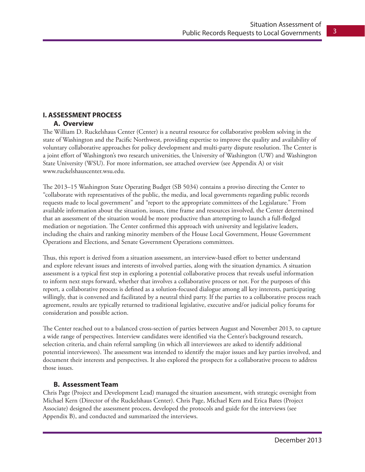### **I. ASSESSMENT PROCESS**

#### **A. Overview**

The William D. Ruckelshaus Center (Center) is a neutral resource for collaborative problem solving in the state of Washington and the Pacific Northwest, providing expertise to improve the quality and availability of voluntary collaborative approaches for policy development and multi-party dispute resolution. The Center is a joint effort of Washington's two research universities, the University of Washington (UW) and Washington State University (WSU). For more information, see attached overview (see Appendix A) or visit www.ruckelshauscenter.wsu.edu.

The 2013–15 Washington State Operating Budget (SB 5034) contains a proviso directing the Center to "collaborate with representatives of the public, the media, and local governments regarding public records requests made to local government" and "report to the appropriate committees of the Legislature." From available information about the situation, issues, time frame and resources involved, the Center determined that an assessment of the situation would be more productive than attempting to launch a full-fledged mediation or negotiation. The Center confirmed this approach with university and legislative leaders, including the chairs and ranking minority members of the House Local Government, House Government Operations and Elections, and Senate Government Operations committees.

Thus, this report is derived from a situation assessment, an interview-based effort to better understand and explore relevant issues and interests of involved parties, along with the situation dynamics. A situation assessment is a typical first step in exploring a potential collaborative process that reveals useful information to inform next steps forward, whether that involves a collaborative process or not. For the purposes of this report, a collaborative process is defined as a solution-focused dialogue among all key interests, participating willingly, that is convened and facilitated by a neutral third party. If the parties to a collaborative process reach agreement, results are typically returned to traditional legislative, executive and/or judicial policy forums for consideration and possible action.

The Center reached out to a balanced cross-section of parties between August and November 2013, to capture a wide range of perspectives. Interview candidates were identified via the Center's background research, selection criteria, and chain referral sampling (in which all interviewees are asked to identify additional potential interviewees). The assessment was intended to identify the major issues and key parties involved, and document their interests and perspectives. It also explored the prospects for a collaborative process to address those issues.

#### **B. Assessment Team**

Chris Page (Project and Development Lead) managed the situation assessment, with strategic oversight from Michael Kern (Director of the Ruckelshaus Center). Chris Page, Michael Kern and Erica Bates (Project Associate) designed the assessment process, developed the protocols and guide for the interviews (see Appendix B), and conducted and summarized the interviews.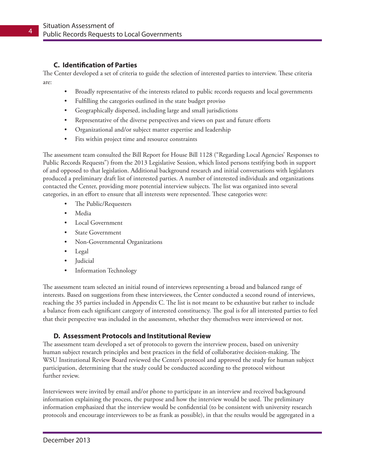#### **C. Identification of Parties**

The Center developed a set of criteria to guide the selection of interested parties to interview. These criteria are:

- Broadly representative of the interests related to public records requests and local governments
- Fulfilling the categories outlined in the state budget proviso
- • Geographically dispersed, including large and small jurisdictions
- Representative of the diverse perspectives and views on past and future efforts
- • Organizational and/or subject matter expertise and leadership
- Fits within project time and resource constraints

The assessment team consulted the Bill Report for House Bill 1128 ("Regarding Local Agencies' Responses to Public Records Requests") from the 2013 Legislative Session, which listed persons testifying both in support of and opposed to that legislation. Additional background research and initial conversations with legislators produced a preliminary draft list of interested parties. A number of interested individuals and organizations contacted the Center, providing more potential interview subjects. The list was organized into several categories, in an effort to ensure that all interests were represented. These categories were:

- The Public/Requesters
- • Media
- • Local Government
- State Government
- • Non-Governmental Organizations
- Legal
- • Judicial
- **Information Technology**

The assessment team selected an initial round of interviews representing a broad and balanced range of interests. Based on suggestions from these interviewees, the Center conducted a second round of interviews, reaching the 35 parties included in Appendix C. The list is not meant to be exhaustive but rather to include a balance from each significant category of interested constituency. The goal is for all interested parties to feel that their perspective was included in the assessment, whether they themselves were interviewed or not.

#### **D. Assessment Protocols and Institutional Review**

The assessment team developed a set of protocols to govern the interview process, based on university human subject research principles and best practices in the field of collaborative decision-making. The WSU Institutional Review Board reviewed the Center's protocol and approved the study for human subject participation, determining that the study could be conducted according to the protocol without further review.

Interviewees were invited by email and/or phone to participate in an interview and received background information explaining the process, the purpose and how the interview would be used. The preliminary information emphasized that the interview would be confidential (to be consistent with university research protocols and encourage interviewees to be as frank as possible), in that the results would be aggregated in a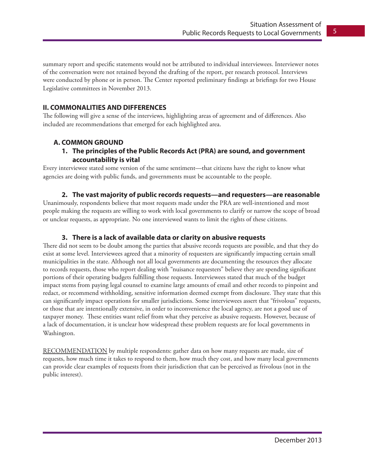summary report and specific statements would not be attributed to individual interviewees. Interviewer notes of the conversation were not retained beyond the drafting of the report, per research protocol. Interviews were conducted by phone or in person. The Center reported preliminary findings at briefings for two House Legislative committees in November 2013.

#### **II. COMMONALITIES AND DIFFERENCES**

The following will give a sense of the interviews, highlighting areas of agreement and of differences. Also included are recommendations that emerged for each highlighted area.

#### **A. COMMON GROUND**

#### **1. The principles of the Public Records Act (PRA) are sound, and government accountability is vital**

Every interviewee stated some version of the same sentiment—that citizens have the right to know what agencies are doing with public funds, and governments must be accountable to the people.

#### **2. The vast majority of public records requests—and requesters—are reasonable**

Unanimously, respondents believe that most requests made under the PRA are well-intentioned and most people making the requests are willing to work with local governments to clarify or narrow the scope of broad or unclear requests, as appropriate. No one interviewed wants to limit the rights of these citizens.

#### **3. There is a lack of available data or clarity on abusive requests**

There did not seem to be doubt among the parties that abusive records requests are possible, and that they do exist at some level. Interviewees agreed that a minority of requesters are significantly impacting certain small municipalities in the state. Although not all local governments are documenting the resources they allocate to records requests, those who report dealing with "nuisance requesters" believe they are spending significant portions of their operating budgets fulfilling those requests. Interviewees stated that much of the budget impact stems from paying legal counsel to examine large amounts of email and other records to pinpoint and redact, or recommend withholding, sensitive information deemed exempt from disclosure. They state that this can significantly impact operations for smaller jurisdictions. Some interviewees assert that "frivolous" requests, or those that are intentionally extensive, in order to inconvenience the local agency, are not a good use of taxpayer money. These entities want relief from what they perceive as abusive requests. However, because of a lack of documentation, it is unclear how widespread these problem requests are for local governments in Washington.

RECOMMENDATION by multiple respondents: gather data on how many requests are made, size of requests, how much time it takes to respond to them, how much they cost, and how many local governments can provide clear examples of requests from their jurisdiction that can be perceived as frivolous (not in the public interest).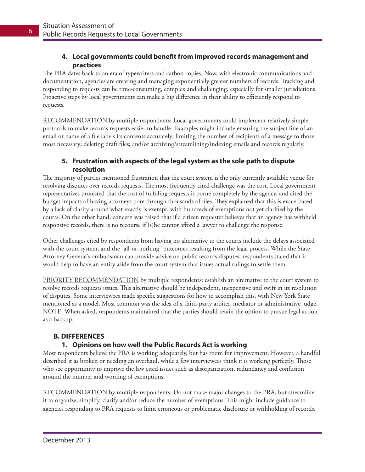#### **4. Local governments could benefit from improved records management and practices**

The PRA dates back to an era of typewriters and carbon copies. Now, with electronic communications and documentation, agencies are creating and managing exponentially greater numbers of records. Tracking and responding to requests can be time-consuming, complex and challenging, especially for smaller jurisdictions. Proactive steps by local governments can make a big difference in their ability to efficiently respond to requests.

RECOMMENDATION by multiple respondents: Local governments could implement relatively simple protocols to make records requests easier to handle. Examples might include ensuring the subject line of an email or name of a file labels its contents accurately; limiting the number of recipients of a message to those most necessary; deleting draft files; and/or archiving/streamlining/indexing emails and records regularly.

#### **5. Frustration with aspects of the legal system as the sole path to dispute resolution**

The majority of parties mentioned frustration that the court system is the only currently available venue for resolving disputes over records requests. The most frequently cited challenge was the cost. Local government representatives protested that the cost of fulfilling requests is borne completely by the agency, and cited the budget impacts of having attorneys pore through thousands of files. They explained that this is exacerbated by a lack of clarity around what exactly is exempt, with hundreds of exemptions not yet clarified by the courts. On the other hand, concern was raised that if a citizen requester believes that an agency has withheld responsive records, there is no recourse if (s)he cannot afford a lawyer to challenge the response.

Other challenges cited by respondents from having no alternative to the courts include the delays associated with the court system, and the "all-or-nothing" outcomes resulting from the legal process. While the State Attorney General's ombudsman can provide advice on public records disputes, respondents stated that it would help to have an entity aside from the court system that issues actual rulings to settle them.

PRIORITY RECOMMENDATION by multiple respondents: establish an alternative to the court system to resolve records requests issues. This alternative should be independent, inexpensive and swift in its resolution of disputes. Some interviewees made specific suggestions for how to accomplish this, with New York State mentioned as a model. Most common was the idea of a third-party arbiter, mediator or administrative judge. NOTE: When asked, respondents maintained that the parties should retain the option to pursue legal action as a backup.

#### **B. DIFFERENCES**

#### **1. Opinions on how well the Public Records Act is working**

Most respondents believe the PRA is working adequately, but has room for improvement. However, a handful described it as broken or needing an overhaul, while a few interviewees think it is working perfectly. Those who see opportunity to improve the law cited issues such as disorganization, redundancy and confusion around the number and wording of exemptions.

RECOMMENDATION by multiple respondents: Do not make major changes to the PRA, but streamline it to organize, simplify, clarify and/or reduce the number of exemptions. This might include guidance to agencies responding to PRA requests to limit erroneous or problematic disclosure or withholding of records.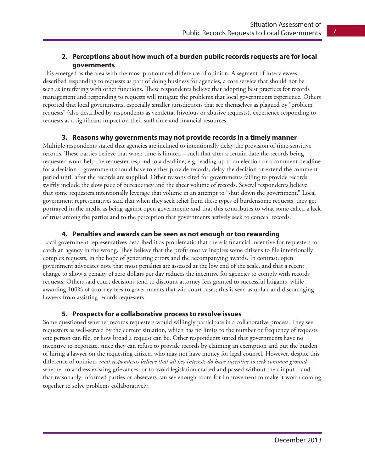#### **2. Perceptions about how much of a burden public records requests are for local governments**

This emerged as the area with the most pronounced difference of opinion. A segment of interviewees described responding to requests as part of doing business for agencies, a core service that should not be seen as interfering with other functions. These respondents believe that adopting best practices for records management and responding to requests will mitigate the problems that local governments experience. Others reported that local governments, especially smaller jurisdictions that see themselves as plagued by "problem requests" (also described by respondents as vendetta, frivolous or abusive requests), experience responding to requests as a significant impact on their staff time and financial resources.

#### **3. Reasons why governments may not provide records in a timely manner**

Multiple respondents stated that agencies are inclined to intentionally delay the provision of time-sensitive records. These parties believe that when time is limited—such that after a certain date the records being requested won't help the requester respond to a deadline, e.g. leading up to an election or a comment deadline for a decision—government should have to either provide records, delay the decision or extend the comment period until after the records are supplied. Other reasons cited for governments failing to provide records swiftly include the slow pace of bureaucracy and the sheer volume of records. Several respondents believe that some requesters intentionally leverage that volume in an attempt to "shut down the government." Local government representatives said that when they seek relief from these types of burdensome requests, they get portrayed in the media as being against open government; and that this contributes to what some called a lack of trust among the parties and to the perception that governments actively seek to conceal records.

#### **4. Penalties and awards can be seen as not enough or too rewarding**

Local government representatives described it as problematic that there is financial incentive for requesters to catch an agency in the wrong. They believe that the profit motive inspires some citizens to file intentionally complex requests, in the hope of generating errors and the accompanying awards. In contrast, open government advocates note that most penalties are assessed at the low end of the scale, and that a recent change to allow a penalty of zero dollars per day reduces the incentive for agencies to comply with records requests. Others said court decisions tend to discount attorney fees granted to successful litigants, while awarding 100% of attorney fees to governments that win court cases; this is seen as unfair and discouraging lawyers from assisting records requesters.

#### **5. Prospects for a collaborative process to resolve issues**

Some questioned whether records requesters would willingly participate in a collaborative process. They see requesters as well-served by the current situation, which has no limits to the number or frequency of requests one person can file, or how broad a request can be. Other respondents stated that governments have no incentive to negotiate, since they can refuse to provide records by claiming an exemption and put the burden of hiring a lawyer on the requesting citizen, who may not have money for legal counsel. However, despite this difference of opinion, *most respondents believe that all key interests do have incentive to seek common ground* whether to address existing grievances, or to avoid legislation crafted and passed without their input—and that reasonably-informed parties or observers can see enough room for improvement to make it worth coming together to solve problems collaboratively.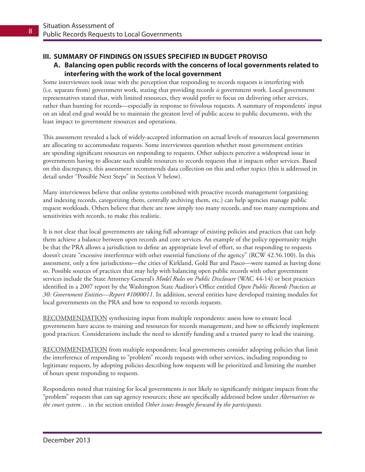#### **III. SUMMARY OF FINDINGS ON ISSUES SPECIFIED IN BUDGET PROVISO**

#### **A. Balancing open public records with the concerns of local governments related to interfering with the work of the local government**

Some interviewees took issue with the perception that responding to records requests is interfering with (i.e. separate from) government work, stating that providing records *is* government work. Local government representatives stated that, with limited resources, they would prefer to focus on delivering other services, rather than hunting for records—especially in response to frivolous requests. A summary of respondents' input on an ideal end goal would be to maintain the greatest level of public access to public documents, with the least impact to government resources and operations.

This assessment revealed a lack of widely-accepted information on actual levels of resources local governments are allocating to accommodate requests. Some interviewees question whether most government entities are spending significant resources on responding to requests. Other subjects perceive a widespread issue in governments having to allocate such sizable resources to records requests that it impacts other services. Based on this discrepancy, this assessment recommends data collection on this and other topics (this is addressed in detail under "Possible Next Steps" in Section V below).

Many interviewees believe that online systems combined with proactive records management (organizing and indexing records, categorizing them, centrally archiving them, etc.) can help agencies manage public request workloads. Others believe that there are now simply too many records, and too many exemptions and sensitivities with records, to make this realistic.

It is not clear that local governments are taking full advantage of existing policies and practices that can help them achieve a balance between open records and core services. An example of the policy opportunity might be that the PRA allows a jurisdiction to define an appropriate level of effort, so that responding to requests doesn't create "excessive interference with other essential functions of the agency" (RCW 42.56.100). In this assessment, only a few jurisdictions—the cities of Kirkland, Gold Bar and Pasco—were named as having done so. Possible sources of practices that may help with balancing open public records with other government services include the State Attorney General's *Model Rules on Public Disclosure* (WAC 44-14) or best practices identified in a 2007 report by the Washington State Auditor's Office entitled *Open Public Records Practices at 30: Government Entities—Report #1000011*. In addition, several entities have developed training modules for local governments on the PRA and how to respond to records requests.

RECOMMENDATION synthesizing input from multiple respondents: assess how to ensure local governments have access to training and resources for records management, and how to efficiently implement good practices. Considerations include the need to identify funding and a trusted party to lead the training.

RECOMMENDATION from multiple respondents: local governments consider adopting policies that limit the interference of responding to "problem" records requests with other services, including responding to legitimate requests, by adopting policies describing how requests will be prioritized and limiting the number of hours spent responding to requests.

Respondents noted that training for local governments is not likely to significantly mitigate impacts from the "problem" requests that can sap agency resources; these are specifically addressed below under *Alternatives to the court system…* in the section entitled *Other issues brought forward by the participants.*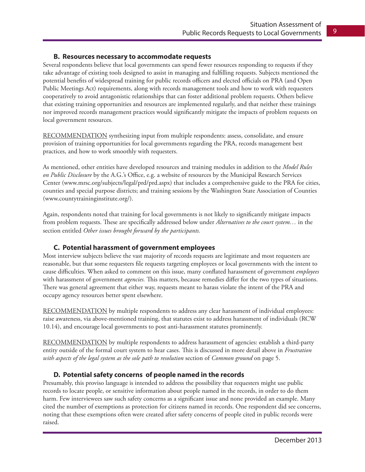#### **B. Resources necessary to accommodate requests**

Several respondents believe that local governments can spend fewer resources responding to requests if they take advantage of existing tools designed to assist in managing and fulfilling requests. Subjects mentioned the potential benefits of widespread training for public records officers and elected officials on PRA (and Open Public Meetings Act) requirements, along with records management tools and how to work with requesters cooperatively to avoid antagonistic relationships that can foster additional problem requests. Others believe that existing training opportunities and resources are implemented regularly, and that neither these trainings nor improved records management practices would significantly mitigate the impacts of problem requests on local government resources.

RECOMMENDATION synthesizing input from multiple respondents: assess, consolidate, and ensure provision of training opportunities for local governments regarding the PRA, records management best practices, and how to work smoothly with requesters.

As mentioned, other entities have developed resources and training modules in addition to the *Model Rules on Public Disclosure* by the A.G.'s Office, e.g. a website of resources by the Municipal Research Services Center (www.mrsc.org/subjects/legal/prd/prd.aspx) that includes a comprehensive guide to the PRA for cities, counties and special purpose districts; and training sessions by the Washington State Association of Counties (www.countytraininginstitute.org/).

Again, respondents noted that training for local governments is not likely to significantly mitigate impacts from problem requests. These are specifically addressed below under *Alternatives to the court system…* in the section entitled *Other issues brought forward by the participants.*

#### **C. Potential harassment of government employees**

Most interview subjects believe the vast majority of records requests are legitimate and most requesters are reasonable, but that some requesters file requests targeting employees or local governments with the intent to cause difficulties. When asked to comment on this issue, many conflated harassment of government *employees* with harassment of government *agencies.* This matters, because remedies differ for the two types of situations. There was general agreement that either way, requests meant to harass violate the intent of the PRA and occupy agency resources better spent elsewhere.

RECOMMENDATION by multiple respondents to address any clear harassment of individual employees: raise awareness, via above-mentioned training, that statutes exist to address harassment of individuals (RCW 10.14), and encourage local governments to post anti-harassment statutes prominently.

RECOMMENDATION by multiple respondents to address harassment of agencies: establish a third-party entity outside of the formal court system to hear cases. This is discussed in more detail above in *Frustration with aspects of the legal system as the sole path to resolution* section of *Common ground* on page 5.

#### **D. Potential safety concerns of people named in the records**

Presumably, this proviso language is intended to address the possibility that requesters might use public records to locate people, or sensitive information about people named in the records, in order to do them harm. Few interviewees saw such safety concerns as a significant issue and none provided an example. Many cited the number of exemptions as protection for citizens named in records. One respondent did see concerns, noting that these exemptions often were created after safety concerns of people cited in public records were raised.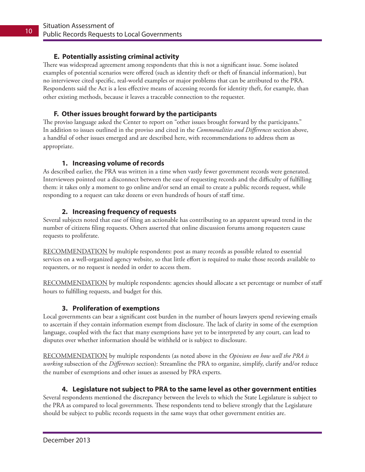#### **E. Potentially assisting criminal activity**

There was widespread agreement among respondents that this is not a significant issue. Some isolated examples of potential scenarios were offered (such as identity theft or theft of financial information), but no interviewee cited specific, real-world examples or major problems that can be attributed to the PRA. Respondents said the Act is a less effective means of accessing records for identity theft, for example, than other existing methods, because it leaves a traceable connection to the requester.

#### **F. Other issues brought forward by the participants**

The proviso language asked the Center to report on "other issues brought forward by the participants." In addition to issues outlined in the proviso and cited in the *Commonalities and Differences* section above, a handful of other issues emerged and are described here, with recommendations to address them as appropriate.

#### **1. Increasing volume of records**

As described earlier, the PRA was written in a time when vastly fewer government records were generated. Interviewees pointed out a disconnect between the ease of requesting records and the difficulty of fulfilling them: it takes only a moment to go online and/or send an email to create a public records request, while responding to a request can take dozens or even hundreds of hours of staff time.

#### **2. Increasing frequency of requests**

Several subjects noted that ease of filing an actionable has contributing to an apparent upward trend in the number of citizens filing requests. Others asserted that online discussion forums among requesters cause requests to proliferate.

RECOMMENDATION by multiple respondents: post as many records as possible related to essential services on a well-organized agency website, so that little effort is required to make those records available to requesters, or no request is needed in order to access them.

RECOMMENDATION by multiple respondents: agencies should allocate a set percentage or number of staff hours to fulfilling requests, and budget for this.

#### **3. Proliferation of exemptions**

Local governments can bear a significant cost burden in the number of hours lawyers spend reviewing emails to ascertain if they contain information exempt from disclosure. The lack of clarity in some of the exemption language, coupled with the fact that many exemptions have yet to be interpreted by any court, can lead to disputes over whether information should be withheld or is subject to disclosure.

RECOMMENDATION by multiple respondents (as noted above in the *Opinions on how well the PRA is working* subsection of the *Differences* section): Streamline the PRA to organize, simplify, clarify and/or reduce the number of exemptions and other issues as assessed by PRA experts.

#### **4. Legislature not subject to PRA to the same level as other government entities**

Several respondents mentioned the discrepancy between the levels to which the State Legislature is subject to the PRA as compared to local governments. These respondents tend to believe strongly that the Legislature should be subject to public records requests in the same ways that other government entities are.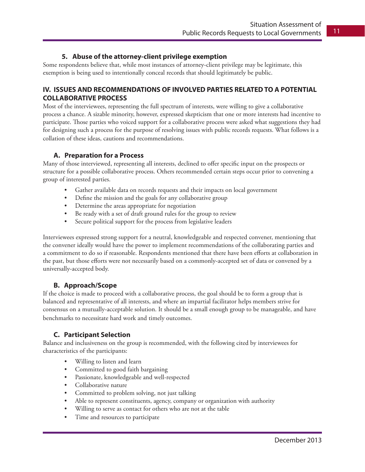#### **5. Abuse of the attorney-client privilege exemption**

Some respondents believe that, while most instances of attorney-client privilege may be legitimate, this exemption is being used to intentionally conceal records that should legitimately be public.

#### **IV. ISSUES AND RECOMMENDATIONS OF INVOLVED PARTIES RELATED TO A POTENTIAL COLLABORATIVE PROCESS**

Most of the interviewees, representing the full spectrum of interests, were willing to give a collaborative process a chance. A sizable minority, however, expressed skepticism that one or more interests had incentive to participate. Those parties who voiced support for a collaborative process were asked what suggestions they had for designing such a process for the purpose of resolving issues with public records requests. What follows is a collation of these ideas, cautions and recommendations.

#### **A. Preparation for a Process**

Many of those interviewed, representing all interests, declined to offer specific input on the prospects or structure for a possible collaborative process. Others recommended certain steps occur prior to convening a group of interested parties.

- Gather available data on records requests and their impacts on local government
- Define the mission and the goals for any collaborative group
- Determine the areas appropriate for negotiation
- Be ready with a set of draft ground rules for the group to review
- Secure political support for the process from legislative leaders

Interviewees expressed strong support for a neutral, knowledgeable and respected convener, mentioning that the convener ideally would have the power to implement recommendations of the collaborating parties and a commitment to do so if reasonable. Respondents mentioned that there have been efforts at collaboration in the past, but those efforts were not necessarily based on a commonly-accepted set of data or convened by a universally-accepted body.

#### **B. Approach/Scope**

If the choice is made to proceed with a collaborative process, the goal should be to form a group that is balanced and representative of all interests, and where an impartial facilitator helps members strive for consensus on a mutually-acceptable solution. It should be a small enough group to be manageable, and have benchmarks to necessitate hard work and timely outcomes.

#### **C. Participant Selection**

Balance and inclusiveness on the group is recommended, with the following cited by interviewees for characteristics of the participants:

- Willing to listen and learn
- • Committed to good faith bargaining
- • Passionate, knowledgeable and well-respected
- • Collaborative nature
- Committed to problem solving, not just talking
- Able to represent constituents, agency, company or organization with authority
- Willing to serve as contact for others who are not at the table
- Time and resources to participate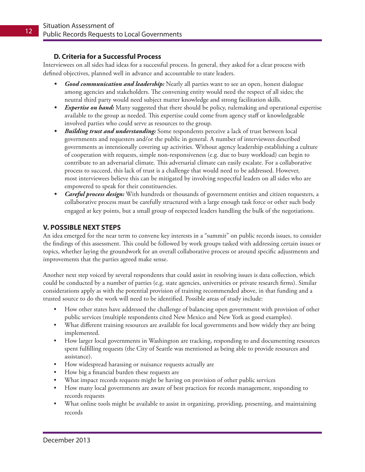#### **D. Criteria for a Successful Process**

Interviewees on all sides had ideas for a successful process. In general, they asked for a clear process with defined objectives, planned well in advance and accountable to state leaders.

- *Good communication and leadership:* Nearly all parties want to see an open, honest dialogue among agencies and stakeholders. The convening entity would need the respect of all sides; the neutral third party would need subject matter knowledge and strong facilitation skills.
- *• Expertise on hand:* Many suggested that there should be policy, rulemaking and operational expertise available to the group as needed. This expertise could come from agency staff or knowledgeable involved parties who could serve as resources to the group.
- *• Building trust and understanding:* Some respondents perceive a lack of trust between local governments and requesters and/or the public in general. A number of interviewees described governments as intentionally covering up activities. Without agency leadership establishing a culture of cooperation with requests, simple non-responsiveness (e.g. due to busy workload) can begin to contribute to an adversarial climate. This adversarial climate can easily escalate. For a collaborative process to succeed, this lack of trust is a challenge that would need to be addressed. However, most interviewees believe this can be mitigated by involving respectful leaders on all sides who are empowered to speak for their constituencies.
- *Careful process design:* With hundreds or thousands of government entities and citizen requesters, a collaborative process must be carefully structured with a large enough task force or other such body engaged at key points, but a small group of respected leaders handling the bulk of the negotiations.

#### **V. POSSIBLE NEXT STEPS**

An idea emerged for the near term to convene key interests in a "summit" on public records issues, to consider the findings of this assessment. This could be followed by work groups tasked with addressing certain issues or topics, whether laying the groundwork for an overall collaborative process or around specific adjustments and improvements that the parties agreed make sense.

Another next step voiced by several respondents that could assist in resolving issues is data collection, which could be conducted by a number of parties (e.g. state agencies, universities or private research firms). Similar considerations apply as with the potential provision of training recommended above, in that funding and a trusted source to do the work will need to be identified. Possible areas of study include:

- How other states have addressed the challenge of balancing open government with provision of other public services (multiple respondents cited New Mexico and New York as good examples).
- What different training resources are available for local governments and how widely they are being implemented.
- How larger local governments in Washington are tracking, responding to and documenting resources spent fulfilling requests (the City of Seattle was mentioned as being able to provide resources and assistance).
- How widespread harassing or nuisance requests actually are
- How big a financial burden these requests are
- What impact records requests might be having on provision of other public services
- How many local governments are aware of best practices for records management, responding to records requests
- What online tools might be available to assist in organizing, providing, presenting, and maintaining records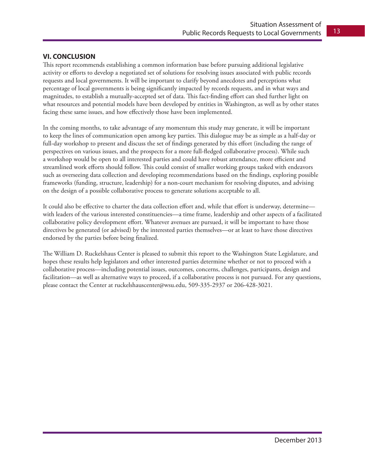#### **VI. CONCLUSION**

This report recommends establishing a common information base before pursuing additional legislative activity or efforts to develop a negotiated set of solutions for resolving issues associated with public records requests and local governments. It will be important to clarify beyond anecdotes and perceptions what percentage of local governments is being significantly impacted by records requests, and in what ways and magnitudes, to establish a mutually-accepted set of data. This fact-finding effort can shed further light on what resources and potential models have been developed by entities in Washington, as well as by other states facing these same issues, and how effectively those have been implemented.

In the coming months, to take advantage of any momentum this study may generate, it will be important to keep the lines of communication open among key parties. This dialogue may be as simple as a half-day or full-day workshop to present and discuss the set of findings generated by this effort (including the range of perspectives on various issues, and the prospects for a more full-fledged collaborative process). While such a workshop would be open to all interested parties and could have robust attendance, more efficient and streamlined work efforts should follow. This could consist of smaller working groups tasked with endeavors such as overseeing data collection and developing recommendations based on the findings, exploring possible frameworks (funding, structure, leadership) for a non-court mechanism for resolving disputes, and advising on the design of a possible collaborative process to generate solutions acceptable to all.

It could also be effective to charter the data collection effort and, while that effort is underway, determine with leaders of the various interested constituencies—a time frame, leadership and other aspects of a facilitated collaborative policy development effort. Whatever avenues are pursued, it will be important to have those directives be generated (or advised) by the interested parties themselves—or at least to have those directives endorsed by the parties before being finalized.

The William D. Ruckelshaus Center is pleased to submit this report to the Washington State Legislature, and hopes these results help legislators and other interested parties determine whether or not to proceed with a collaborative process—including potential issues, outcomes, concerns, challenges, participants, design and facilitation—as well as alternative ways to proceed, if a collaborative process is not pursued. For any questions, please contact the Center at ruckelshauscenter@wsu.edu, 509-335-2937 or 206-428-3021.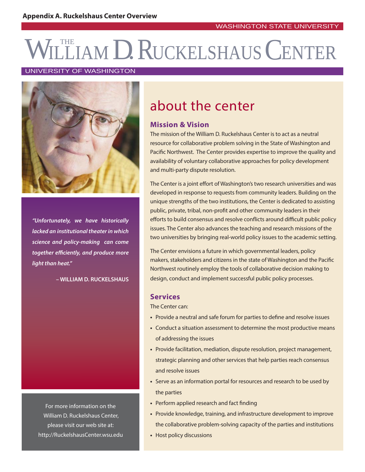# WILLIAM D. RUCKELSHAUS CENTER

#### UNIVERSITY OF WASHINGTON



**"Unfortunately, we have historically lacked an institutional theater in which science and policy-making can come together effi ciently, and produce more light than heat."**

**– WILLIAM D. RUCKELSHAUS**

For more information on the William D. Ruckelshaus Center, please visit our web site at: http://RuckelshausCenter.wsu.edu

## about the center

#### **Mission & Vision**

The mission of the William D. Ruckelshaus Center is to act as a neutral resource for collaborative problem solving in the State of Washington and Pacific Northwest. The Center provides expertise to improve the quality and availability of voluntary collaborative approaches for policy development and multi-party dispute resolution.

The Center is a joint effort of Washington's two research universities and was developed in response to requests from community leaders. Building on the unique strengths of the two institutions, the Center is dedicated to assisting public, private, tribal, non-profit and other community leaders in their efforts to build consensus and resolve conflicts around difficult public policy issues. The Center also advances the teaching and research missions of the two universities by bringing real-world policy issues to the academic setting.

The Center envisions a future in which governmental leaders, policy makers, stakeholders and citizens in the state of Washington and the Pacific Northwest routinely employ the tools of collaborative decision making to design, conduct and implement successful public policy processes.

#### **Services**

The Center can:

- Provide a neutral and safe forum for parties to define and resolve issues
- **•** Conduct a situation assessment to determine the most productive means of addressing the issues
- **•** Provide facilitation, mediation, dispute resolution, project management, strategic planning and other services that help parties reach consensus and resolve issues
- **•** Serve as an information portal for resources and research to be used by the parties
- Perform applied research and fact finding
- **•** Provide knowledge, training, and infrastructure development to improve the collaborative problem-solving capacity of the parties and institutions
- **•** Host policy discussions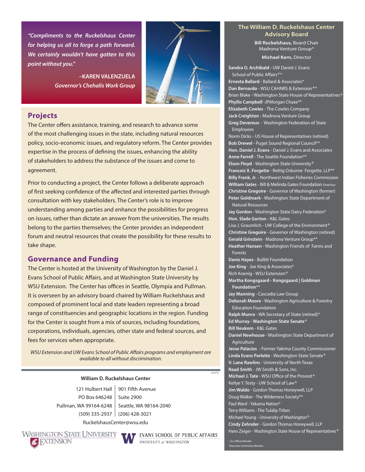**"Compliments to the Ruckelshaus Center for helping us all to forge a path forward. We certainly wouldn't have gotten to this point without you."**

> **–KAREN VALENZUELA Governor's Chehalis Work Group**



#### **Projects**

The Center offers assistance, training, and research to advance some of the most challenging issues in the state, including natural resources policy, socio-economic issues, and regulatory reform. The Center provides expertise in the process of defining the issues, enhancing the ability of stakeholders to address the substance of the issues and come to agreement.

Prior to conducting a project, the Center follows a deliberate approach of first seeking confidence of the affected and interested parties through consultation with key stakeholders. The Center's role is to improve understanding among parties and enhance the possibilities for progress on issues, rather than dictate an answer from the universities. The results belong to the parties themselves; the Center provides an independent forum and neutral resources that create the possibility for these results to take shape.

#### **Governance and Funding**

The Center is hosted at the University of Washington by the Daniel J. Evans School of Public Affairs, and at Washington State University by WSU Extension. The Center has offices in Seattle, Olympia and Pullman. It is overseen by an advisory board chaired by William Ruckelshaus and composed of prominent local and state leaders representing a broad range of constituencies and geographic locations in the region. Funding for the Center is sought from a mix of sources, including foundations, corporations, individuals, agencies, other state and federal sources, and fees for services when appropriate.

WSU Extension and UW Evans School of Public Affairs programs and employment are available to all without discrimination.

#### **William D. Ruckelshaus Center**

RuckelshausCenter@wsu.edu PO Box 646248 Pullman, WA 99164-6248

121 Hulbert Hall 901 Fifth Avenue (509) 335-2937 (206) 428-3021 Suite 2900 Seattle, WA 98164-2040

**WASHINGTON STATE UNIVERSITY** 



**T** EVANS SCHOOL OF PUBLIC AFFAIRS UNIVERSITY of WASHINGTON

#### **The William D. Ruckelshaus Center Advisory Board**

**Bill Ruckelshaus,** Board Chair Madrona Venture Group\*

**Michael Kern,** Director

**Sandra O. Archibald -** UW Daniel J. Evans School of Public Affairs<sup>+\*</sup> **Ernesta Ballard** - Ballard & Associates\* **Dan Bernardo** - WSU CAHNRS & Extension<sup>+\*</sup> Brian Blake - Washington State House of Representatives<sup>+</sup> **Phyllis Campbell** -JPMorgan Chase\*\* **Elizabeth Cowles** - The Cowles Company **Jack Creighton** - Madrona Venture Group **Greg Devereux** - Washington Federation of State Employees

Norm Dicks - US House of Representatives (retired) **Bob Drewel** - Puget Sound Regional Council\*\* **Hon. Daniel J. Evans** - Daniel J. Evans and Associates **Anne Farrell** - The Seattle Foundation\*\* **Elson Floyd** - Washington State University+ **Francois X. Forgette** - Rettig Osborne Forgette, LLP\*\* **Billy Frank, Jr**. - Northwest Indian Fisheries Commission **William Gates** - Bill & Melinda Gates Foundation Emeritus **Christine Gregoire** - Governor of Washington (former) **Peter Goldmark** - Washington State Department of Natural Resources

**Jay Gordon** - Washington State Dairy Federation\* **Hon. Slade Gorton** - K&L Gates

Lisa J. Graumlich - UW College of the Environment<sup>+</sup> **Christine Gregoire** - Governor of Washington (retired) **Gerald Grinstein** - Madrona Venture Group\*\* **Heather Hansen** - Washington Friends of Farms and Forests

**Denis Hayes** - Bullitt Foundation **Joe King** - Joe King & Associates\*

Rich Koenig - WSU Extension+

**Martha Kongsgaard - Kongsgaard | Goldman Foundation**\*\*

**Jay Manning** - Cascadia Law Group **Deborah Moore** - Washington Agriculture & Forestry Education Foundation

**Ralph Munro** - WA Secretary of State (retired)\*

**Ed Murray - Washington State Senate**+

**Bill Neukom** - K&L Gates

**Daniel Newhouse** - Washington State Department of Agriculture

**Jesse Palacios** - Former Yakima County Commissioner **Linda Evans Parlette** - Washington State Senate+ **V. Lane Rawlins** - University of North Texas **Read Smith** - JW Smith & Sons, Inc. **Michael J. Tate** - WSU Office of the Provost<sup>+</sup> Kellye Y. Testy - UW School of Law+ **Jim Waldo** - Gordon Thomas Honeywell, LLP Doug Walker - The Wilderness Society\*\* Paul Ward - Yakama Nation\* Terry Williams - The Tulalip Tribes Michael Young - University of Washington+ **Cindy Zehnder** - Gordon Thomas Honeywell, LLP Hans Zeiger - Washington State House of Representatives<sup>+</sup>

\*Executive Committee Member

12/2/13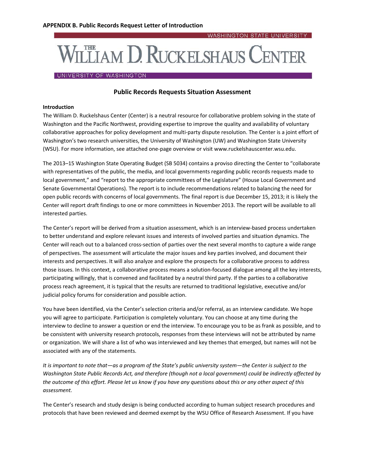

#### UNIVERSITY OF WASHINGTON

#### **Public Records Requests Situation Assessment**

#### **Introduction**

The William D. Ruckelshaus Center (Center) is a neutral resource for collaborative problem solving in the state of Washington and the Pacific Northwest, providing expertise to improve the quality and availability of voluntary collaborative approaches for policy development and multi‐party dispute resolution. The Center is a joint effort of Washington's two research universities, the University of Washington (UW) and Washington State University (WSU). For more information, see attached one‐page overview or visit www.ruckelshauscenter.wsu.edu.

The 2013–15 Washington State Operating Budget (SB 5034) contains a proviso directing the Center to "collaborate with representatives of the public, the media, and local governments regarding public records requests made to local government," and "report to the appropriate committees of the Legislature" (House Local Government and Senate Governmental Operations). The report is to include recommendations related to balancing the need for open public records with concerns of local governments. The final report is due December 15, 2013; it is likely the Center will report draft findings to one or more committees in November 2013. The report will be available to all interested parties.

The Center's report will be derived from a situation assessment, which is an interview‐based process undertaken to better understand and explore relevant issues and interests of involved parties and situation dynamics. The Center will reach out to a balanced cross‐section of parties over the next several months to capture a wide range of perspectives. The assessment will articulate the major issues and key parties involved, and document their interests and perspectives. It will also analyze and explore the prospects for a collaborative process to address those issues. In this context, a collaborative process means a solution‐focused dialogue among all the key interests, participating willingly, that is convened and facilitated by a neutral third party. If the parties to a collaborative process reach agreement, it is typical that the results are returned to traditional legislative, executive and/or judicial policy forums for consideration and possible action.

You have been identified, via the Center's selection criteria and/or referral, as an interview candidate. We hope you will agree to participate. Participation is completely voluntary. You can choose at any time during the interview to decline to answer a question or end the interview. To encourage you to be as frank as possible, and to be consistent with university research protocols, responses from these interviews will not be attributed by name or organization. We will share a list of who was interviewed and key themes that emerged, but names will not be associated with any of the statements.

It is important to note that—as a program of the State's public university system—the Center is subject to the Washington State Public Records Act, and therefore (though not a local government) could be indirectly affected by the outcome of this effort. Please let us know if you have any questions about this or any other aspect of this *assessment.*

The Center's research and study design is being conducted according to human subject research procedures and protocols that have been reviewed and deemed exempt by the WSU Office of Research Assessment. If you have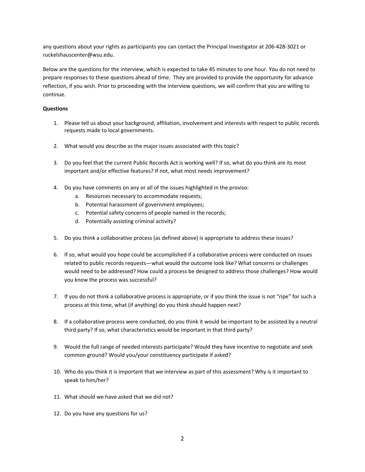any questions about your rights as participants you can contact the Principal Investigator at 206‐428‐3021 or ruckelshauscenter@wsu.edu.

Below are the questions for the interview, which is expected to take 45 minutes to one hour. You do not need to prepare responses to these questions ahead of time. They are provided to provide the opportunity for advance reflection, if you wish. Prior to proceeding with the interview questions, we will confirm that you are willing to continue.

#### **Questions**

- 1. Please tell us about your background, affiliation, involvement and interests with respect to public records requests made to local governments.
- 2. What would you describe as the major issues associated with this topic?
- 3. Do you feel that the current Public Records Act is working well? If so, what do you think are its most important and/or effective features? If not, what most needs improvement?
- 4. Do you have comments on any or all of the issues highlighted in the proviso:
	- a. Resources necessary to accommodate requests;
	- b. Potential harassment of government employees;
	- c. Potential safety concerns of people named in the records;
	- d. Potentially assisting criminal activity?
- 5. Do you think a collaborative process (as defined above) is appropriate to address these issues?
- 6. If so, what would you hope could be accomplished if a collaborative process were conducted on issues related to public records requests—what would the outcome look like? What concerns or challenges would need to be addressed? How could a process be designed to address those challenges? How would you know the process was successful?
- 7. If you do not think a collaborative process is appropriate, or if you think the issue is not "ripe" for such a process at this time, what (if anything) do you think should happen next?
- 8. If a collaborative process were conducted, do you think it would be important to be assisted by a neutral third party? If so, what characteristics would be important in that third party?
- 9. Would the full range of needed interests participate? Would they have incentive to negotiate and seek common ground? Would you/your constituency participate if asked?
- 10. Who do you think it is important that we interview as part of this assessment? Why is it important to speak to him/her?
- 11. What should we have asked that we did not?
- 12. Do you have any questions for us?